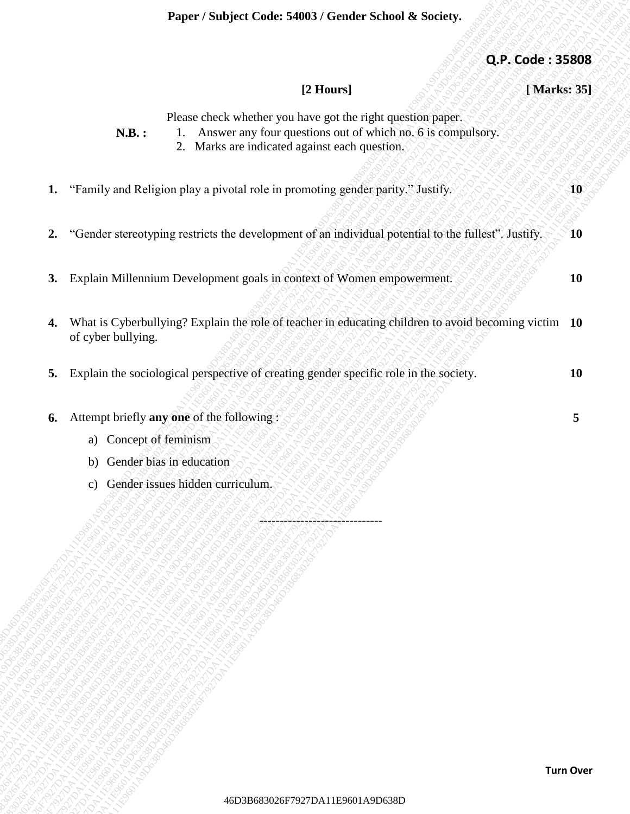| Q.P. Code: 35808 |                                                                                                                               |                                               |                                                                                                                                     |                           |
|------------------|-------------------------------------------------------------------------------------------------------------------------------|-----------------------------------------------|-------------------------------------------------------------------------------------------------------------------------------------|---------------------------|
| [Marks: 35]      | [2 Hours]                                                                                                                     |                                               |                                                                                                                                     |                           |
|                  | Please check whether you have got the right question paper.<br>1. Answer any four questions out of which no. 6 is compulsory. | 2. Marks are indicated against each question. | N.B.:                                                                                                                               |                           |
|                  | "Family and Religion play a pivotal role in promoting gender parity." Justify.                                                |                                               |                                                                                                                                     | 1.                        |
|                  | "Gender stereotyping restricts the development of an individual potential to the fullest". Justify.                           |                                               |                                                                                                                                     | 2.                        |
|                  | Explain Millennium Development goals in context of Women empowerment.                                                         |                                               |                                                                                                                                     | 3.                        |
|                  | What is Cyberbullying? Explain the role of teacher in educating children to avoid becoming victim 10                          |                                               |                                                                                                                                     | 4.<br>of cyber bullying.  |
|                  | 5. Explain the sociological perspective of creating gender specific role in the society.                                      |                                               |                                                                                                                                     |                           |
|                  |                                                                                                                               |                                               | Attempt briefly any one of the following:<br>a) Concept of feminism<br>Gender bias in education<br>Gender issues hidden curriculum. | 6.<br>b)<br>$\mathbf{c})$ |
| <b>Turn Over</b> |                                                                                                                               |                                               |                                                                                                                                     |                           |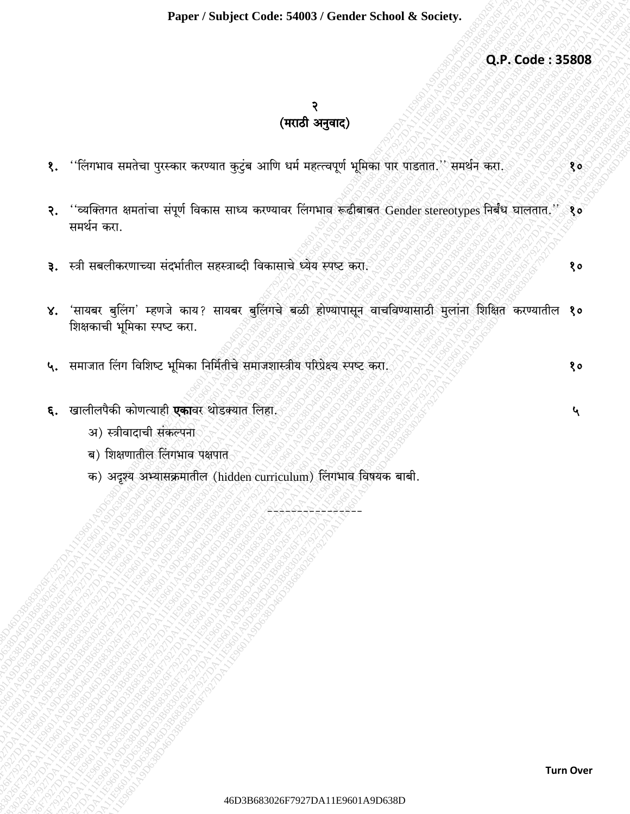Q.P. Code: 35808

 $80$ 

 $80$ 

 $\mathbf{r}$ 

## २ (मराठी अनुवाद)

- ''लिंगभाव समतेचा पुरस्कार करण्यात कुटुंब आणि धर्म महत्त्वपूर्ण भूमिका पार पाडतात.'' समर्थन करा.  $\mathbf{\S}$ .
- ''व्यक्तिगत क्षमतांचा संपूर्ण विकास साध्य करण्यावर लिंगभाव रूढीबाबत Gender stereotypes निर्बंध घालतात.''  $\mathcal{R}_{\bullet}$  $80$ समर्थन करा.
- ३. स्त्री सबलीकरणाच्या संदर्भातील सहस्त्राब्दी विकासाचे ध्येय स्पष्ट करा.
- ४. 'सायबर बुलिंग' म्हणजे काय? सायबर बुलिंगचे बळी होण्यापासून वाचविण्यासाठी मुलांना शिक्षित करण्यातील १० शिक्षकाची भूमिका स्पष्ट करा.
- ५. समाजात लिंग विशिष्ट भूमिका निर्मितीचे समाजशास्त्रीय परिप्रेक्ष्य स्पष्ट करा. १०
- ६. खालीलपैकी कोणत्याही एकावर थोडक्यात लिहा.
	- अ) स्त्रीवादाची संकल्पना
	- ब) शिक्षणातील लिंगभाव पक्षपात
	- क) अदृश्य अभ्यासक्रमातील (hidden curriculum) लिंगभाव विषयक बाबी.